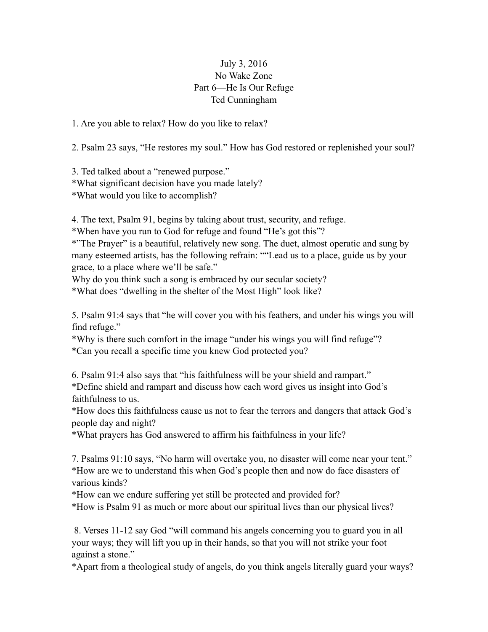## July 3, 2016 No Wake Zone Part 6—He Is Our Refuge Ted Cunningham

1. Are you able to relax? How do you like to relax?

2. Psalm 23 says, "He restores my soul." How has God restored or replenished your soul?

3. Ted talked about a "renewed purpose." \*What significant decision have you made lately? \*What would you like to accomplish?

4. The text, Psalm 91, begins by taking about trust, security, and refuge.

\*When have you run to God for refuge and found "He's got this"?

\*"The Prayer" is a beautiful, relatively new song. The duet, almost operatic and sung by many esteemed artists, has the following refrain: ""Lead us to a place, guide us by your grace, to a place where we'll be safe."

Why do you think such a song is embraced by our secular society?

\*What does "dwelling in the shelter of the Most High" look like?

5. Psalm 91:4 says that "he will cover you with his feathers, and under his wings you will find refuge."

\*Why is there such comfort in the image "under his wings you will find refuge"? \*Can you recall a specific time you knew God protected you?

6. Psalm 91:4 also says that "his faithfulness will be your shield and rampart." \*Define shield and rampart and discuss how each word gives us insight into God's faithfulness to us.

\*How does this faithfulness cause us not to fear the terrors and dangers that attack God's people day and night?

\*What prayers has God answered to affirm his faithfulness in your life?

7. Psalms 91:10 says, "No harm will overtake you, no disaster will come near your tent." \*How are we to understand this when God's people then and now do face disasters of various kinds?

\*How can we endure suffering yet still be protected and provided for?

\*How is Psalm 91 as much or more about our spiritual lives than our physical lives?

 8. Verses 11-12 say God "will command his angels concerning you to guard you in all your ways; they will lift you up in their hands, so that you will not strike your foot against a stone."

\*Apart from a theological study of angels, do you think angels literally guard your ways?